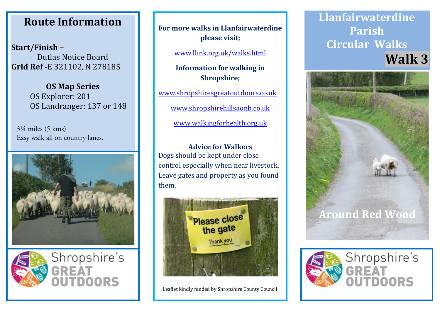## **Route Information Route Information Route Information**

**Start/Finish – Start/Finish – Start/Finish –** Dutlas Notice Board Dutlas Notice Board Dutlas Notice Board **Grid Ref -**E 321102, N 278185 **Grid Ref -**E 321102, N 278185 **Grid Ref -**E 321102, N 278185

> **OS Map Series OS Map Series OS Map Series** OS Explorer: 201 OS Explorer: 201 OS Explorer: 201 OS Landranger: 137 or 148 OS Landranger: 137 or 148 OS Landranger: 137 or 148

3¼ miles (5 kms) Easy walk all on country lanes.





**For more walks in Llanfairwaterdine For more walks in Llanfairwaterdine For more walks in Llanfairwaterdine please visit; please visit; please visit;**

www.llink.org.uk/walks.html www.llink.org.uk/walks.html www.llink.org.uk/walks.html

**Information for walking in Information for walking in Information for walking in Shropshire; Shropshire; Shropshire;**

www.shropshiresgreatoutdoors.co.uk www.shropshiresgreatoutdoors.co.uk www.shropshiresgreatoutdoors.co.uk

www.shropshirehillsaonb.co.uk www.shropshirehillsaonb.co.uk www.shropshirehillsaonb.co.uk

www.walkingforhealth.org.uk www.walkingforhealth.org.uk www.walkingforhealth.org.uk

**Advice for Walkers Advice for Walkers Advice for Walkers** Dogs should be kept under close Dogs should be kept under close Dogs should be kept under close control especially when near livestock. control especially when near livestock. control especially when near livestock. Leave gates and property as you found Leave gates and property as you found Leave gates and property as you found them. them. them.



Leaflet kindly funded by Shropshire County Council Leaflet kindly funded by Shropshire County Council Leaflet kindly funded by Shropshire County Council

## **Llanfairwaterdine Llanfairwaterdine Llanfairwaterdine Parish Parish Parish Circular Walks Circular Walks Circular Walks Walk 3 Walk 3 Walk 3**